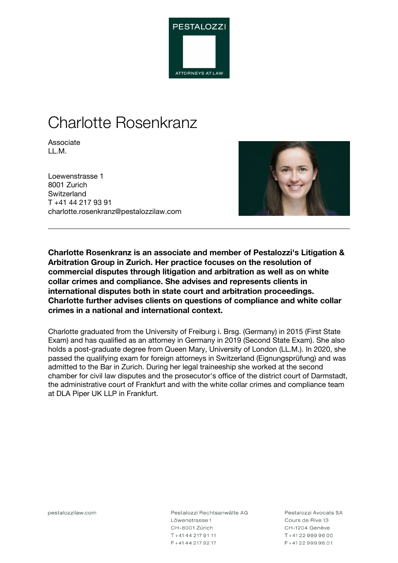

# Charlotte Rosenkranz

Associate LL.M.

Loewenstrasse 1 8001 Zurich **Switzerland** T +41 44 217 93 91 charlotte.rosenkranz@pestalozzilaw.com



**Charlotte Rosenkranz is an associate and member of Pestalozzi's Litigation & Arbitration Group in Zurich. Her practice focuses on the resolution of commercial disputes through litigation and arbitration as well as on white collar crimes and compliance. She advises and represents clients in international disputes both in state court and arbitration proceedings. Charlotte further advises clients on questions of compliance and white collar crimes in a national and international context.**

Charlotte graduated from the University of Freiburg i. Brsg. (Germany) in 2015 (First State Exam) and has qualified as an attorney in Germany in 2019 (Second State Exam). She also holds a post-graduate degree from Queen Mary, University of London (LL.M.). In 2020, she passed the qualifying exam for foreign attorneys in Switzerland (Eignungsprüfung) and was admitted to the Bar in Zurich. During her legal traineeship she worked at the second chamber for civil law disputes and the prosecutor's office of the district court of Darmstadt, the administrative court of Frankfurt and with the white collar crimes and compliance team at DLA Piper UK LLP in Frankfurt.

pestalozzilaw.com

Pestalozzi Rechtsanwälte AG Löwenstrasse 1 CH-8001 Zürich T+41442179111 F+41442179217

Pestalozzi Avocats SA Cours de Rive 13 CH-1204 Genève T+41229999600 F+41229999601